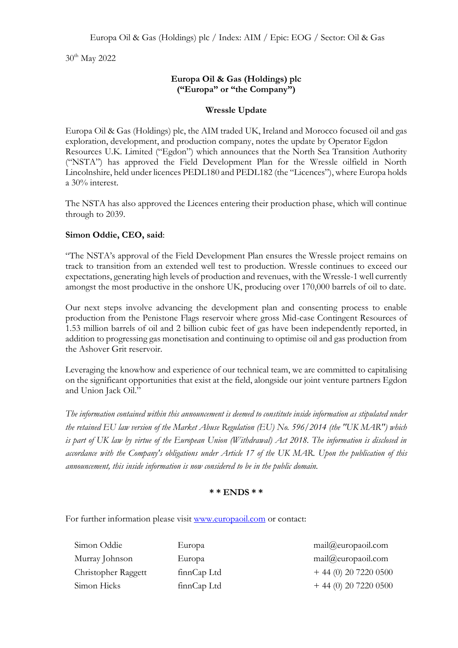30th May 2022

# **Europa Oil & Gas (Holdings) plc ("Europa" or "the Company")**

#### **Wressle Update**

Europa Oil & Gas (Holdings) plc, the AIM traded UK, Ireland and Morocco focused oil and gas exploration, development, and production company, notes the update by Operator Egdon Resources U.K. Limited ("Egdon") which announces that the North Sea Transition Authority ("NSTA") has approved the Field Development Plan for the Wressle oilfield in North Lincolnshire, held under licences PEDL180 and PEDL182 (the "Licences"), where Europa holds a 30% interest.

The NSTA has also approved the Licences entering their production phase, which will continue through to 2039.

### **Simon Oddie, CEO, said**:

"The NSTA's approval of the Field Development Plan ensures the Wressle project remains on track to transition from an extended well test to production. Wressle continues to exceed our expectations, generating high levels of production and revenues, with the Wressle-1 well currently amongst the most productive in the onshore UK, producing over 170,000 barrels of oil to date.

Our next steps involve advancing the development plan and consenting process to enable production from the Penistone Flags reservoir where gross Mid-case Contingent Resources of 1.53 million barrels of oil and 2 billion cubic feet of gas have been independently reported, in addition to progressing gas monetisation and continuing to optimise oil and gas production from the Ashover Grit reservoir.

Leveraging the knowhow and experience of our technical team, we are committed to capitalising on the significant opportunities that exist at the field, alongside our joint venture partners Egdon and Union Jack Oil."

*The information contained within this announcement is deemed to constitute inside information as stipulated under the retained EU law version of the Market Abuse Regulation (EU) No. 596/2014 (the "UK MAR") which is part of UK law by virtue of the European Union (Withdrawal) Act 2018. The information is disclosed in accordance with the Company's obligations under Article 17 of the UK MAR. Upon the publication of this announcement, this inside information is now considered to be in the public domain.*

### **\* \* ENDS \* \***

For further information please visit [www.europaoil.com](http://www.europaoil.com/) or contact:

| Simon Oddie         | Europa        | $mail@$ europaoil.com |
|---------------------|---------------|-----------------------|
| Murray Johnson      | Europa        | mail@europaoil.com    |
| Christopher Raggett | $finnCap$ Ltd | $+44(0)$ 20 7220 0500 |
| Simon Hicks         | finnCap Ltd   | $+44(0)$ 20 7220 0500 |